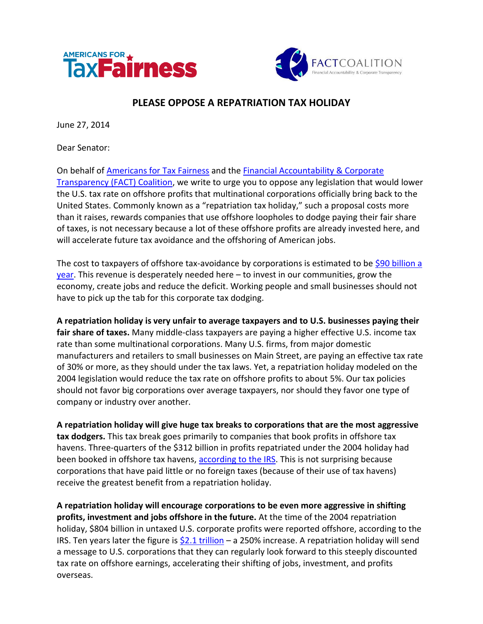



## **PLEASE OPPOSE A REPATRIATION TAX HOLIDAY**

June 27, 2014

Dear Senator:

On behalf of [Americans for Tax Fairness](http://www.americansfortaxfairness.org/about/endorsements/) and the [Financial Accountability & Corporate](http://thefactcoalition.org/coalition-members-and-supporters/)  [Transparency \(FACT\) Coalition,](http://thefactcoalition.org/coalition-members-and-supporters/) we write to urge you to oppose any legislation that would lower the U.S. tax rate on offshore profits that multinational corporations officially bring back to the United States. Commonly known as a "repatriation tax holiday," such a proposal costs more than it raises, rewards companies that use offshore loopholes to dodge paying their fair share of taxes, is not necessary because a lot of these offshore profits are already invested here, and will accelerate future tax avoidance and the offshoring of American jobs.

The cost to taxpayers of offshore tax-avoidance by corporations is estimated to b[e \\$90 billion a](http://taxprof.typepad.com/files/136tn0281.pdf)   $year$ . This revenue is desperately needed here  $-$  to invest in our communities, grow the economy, create jobs and reduce the deficit. Working people and small businesses should not have to pick up the tab for this corporate tax dodging.

**A repatriation holiday is very unfair to average taxpayers and to U.S. businesses paying their fair share of taxes.** Many middle-class taxpayers are paying a higher effective U.S. income tax rate than some multinational corporations. Many U.S. firms, from major domestic manufacturers and retailers to small businesses on Main Street, are paying an effective tax rate of 30% or more, as they should under the tax laws. Yet, a repatriation holiday modeled on the 2004 legislation would reduce the tax rate on offshore profits to about 5%. Our tax policies should not favor big corporations over average taxpayers, nor should they favor one type of company or industry over another.

**A repatriation holiday will give huge tax breaks to corporations that are the most aggressive tax dodgers.** This tax break goes primarily to companies that book profits in offshore tax havens. Three-quarters of the \$312 billion in profits repatriated under the 2004 holiday had been booked in offshore tax havens, [according to the IRS.](http://www.americansfortaxfairness.org/files/Repatriated-Funds-from-Tax-Havens-2004-2006.pdf) This is not surprising because corporations that have paid little or no foreign taxes (because of their use of tax havens) receive the greatest benefit from a repatriation holiday.

**A repatriation holiday will encourage corporations to be even more aggressive in shifting profits, investment and jobs offshore in the future.** At the time of the 2004 repatriation holiday, \$804 billion in untaxed U.S. corporate profits were reported offshore, according to the IRS. Ten years later the figure is  $$2.1$  trillion – a 250% increase. A repatriation holiday will send a message to U.S. corporations that they can regularly look forward to this steeply discounted tax rate on offshore earnings, accelerating their shifting of jobs, investment, and profits overseas.